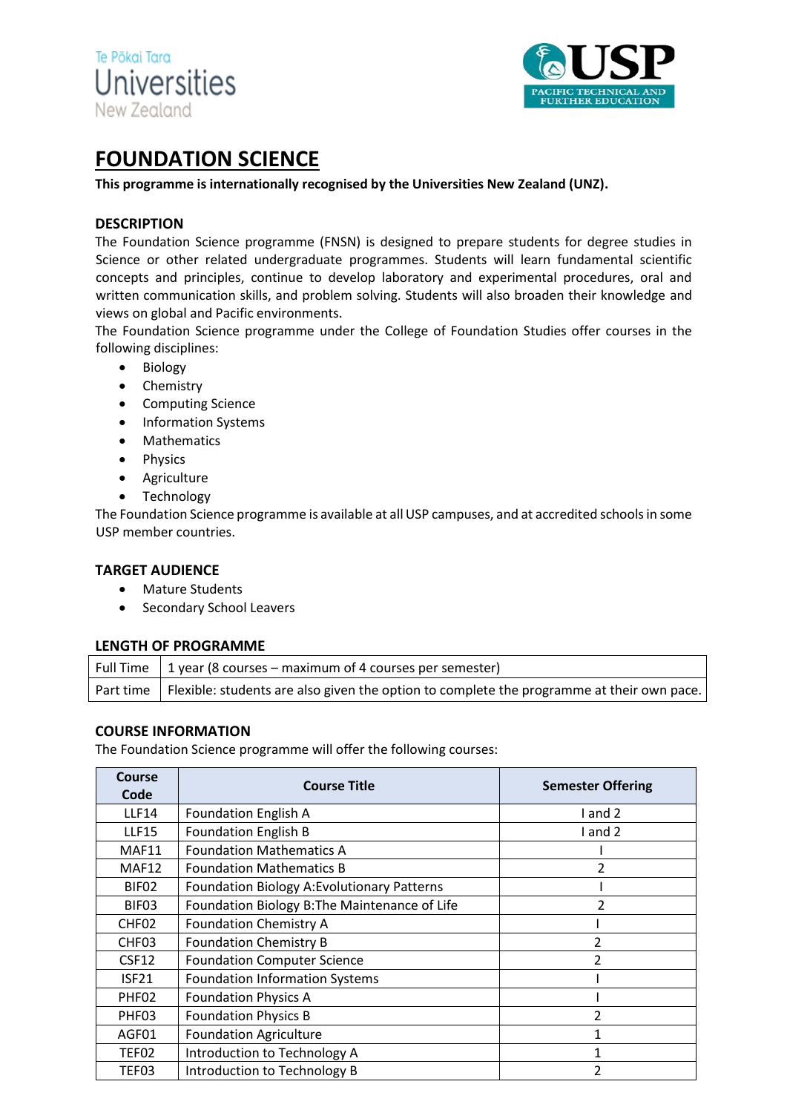



# **FOUNDATION SCIENCE**

**This programme is internationally recognised by the Universities New Zealand (UNZ).**

## **DESCRIPTION**

The Foundation Science programme (FNSN) is designed to prepare students for degree studies in Science or other related undergraduate programmes. Students will learn fundamental scientific concepts and principles, continue to develop laboratory and experimental procedures, oral and written communication skills, and problem solving. Students will also broaden their knowledge and views on global and Pacific environments.

The Foundation Science programme under the College of Foundation Studies offer courses in the following disciplines:

- Biology
- Chemistry
- Computing Science
- Information Systems
- Mathematics
- Physics
- Agriculture
- Technology

The Foundation Science programme is available at all USP campuses, and at accredited schools in some USP member countries.

### **TARGET AUDIENCE**

- Mature Students
- Secondary School Leavers

#### **LENGTH OF PROGRAMME**

| Full Time $\vert$ 1 year (8 courses – maximum of 4 courses per semester)                              |
|-------------------------------------------------------------------------------------------------------|
| Part time   Flexible: students are also given the option to complete the programme at their own pace. |

### **COURSE INFORMATION**

The Foundation Science programme will offer the following courses:

| Course<br>Code    | <b>Course Title</b>                           | <b>Semester Offering</b> |  |  |  |  |  |
|-------------------|-----------------------------------------------|--------------------------|--|--|--|--|--|
| <b>LLF14</b>      | <b>Foundation English A</b>                   | and 2                    |  |  |  |  |  |
| <b>LLF15</b>      | <b>Foundation English B</b>                   | l and 2                  |  |  |  |  |  |
| MAF11             | <b>Foundation Mathematics A</b>               |                          |  |  |  |  |  |
| MAF12             | <b>Foundation Mathematics B</b>               |                          |  |  |  |  |  |
| BIF02             | Foundation Biology A: Evolutionary Patterns   |                          |  |  |  |  |  |
| BIF03             | Foundation Biology B: The Maintenance of Life | $\overline{\mathcal{L}}$ |  |  |  |  |  |
| CHF <sub>02</sub> | <b>Foundation Chemistry A</b>                 |                          |  |  |  |  |  |
| CHF <sub>03</sub> | <b>Foundation Chemistry B</b>                 | 2                        |  |  |  |  |  |
| CSF12             | <b>Foundation Computer Science</b>            | $\overline{\phantom{a}}$ |  |  |  |  |  |
| ISF <sub>21</sub> | <b>Foundation Information Systems</b>         |                          |  |  |  |  |  |
| PHF <sub>02</sub> | <b>Foundation Physics A</b>                   |                          |  |  |  |  |  |
| PHF03             | <b>Foundation Physics B</b>                   | 2                        |  |  |  |  |  |
| AGF01             | <b>Foundation Agriculture</b>                 |                          |  |  |  |  |  |
| TEF02             | Introduction to Technology A                  | 1                        |  |  |  |  |  |
| TEF03             | Introduction to Technology B                  | 2                        |  |  |  |  |  |